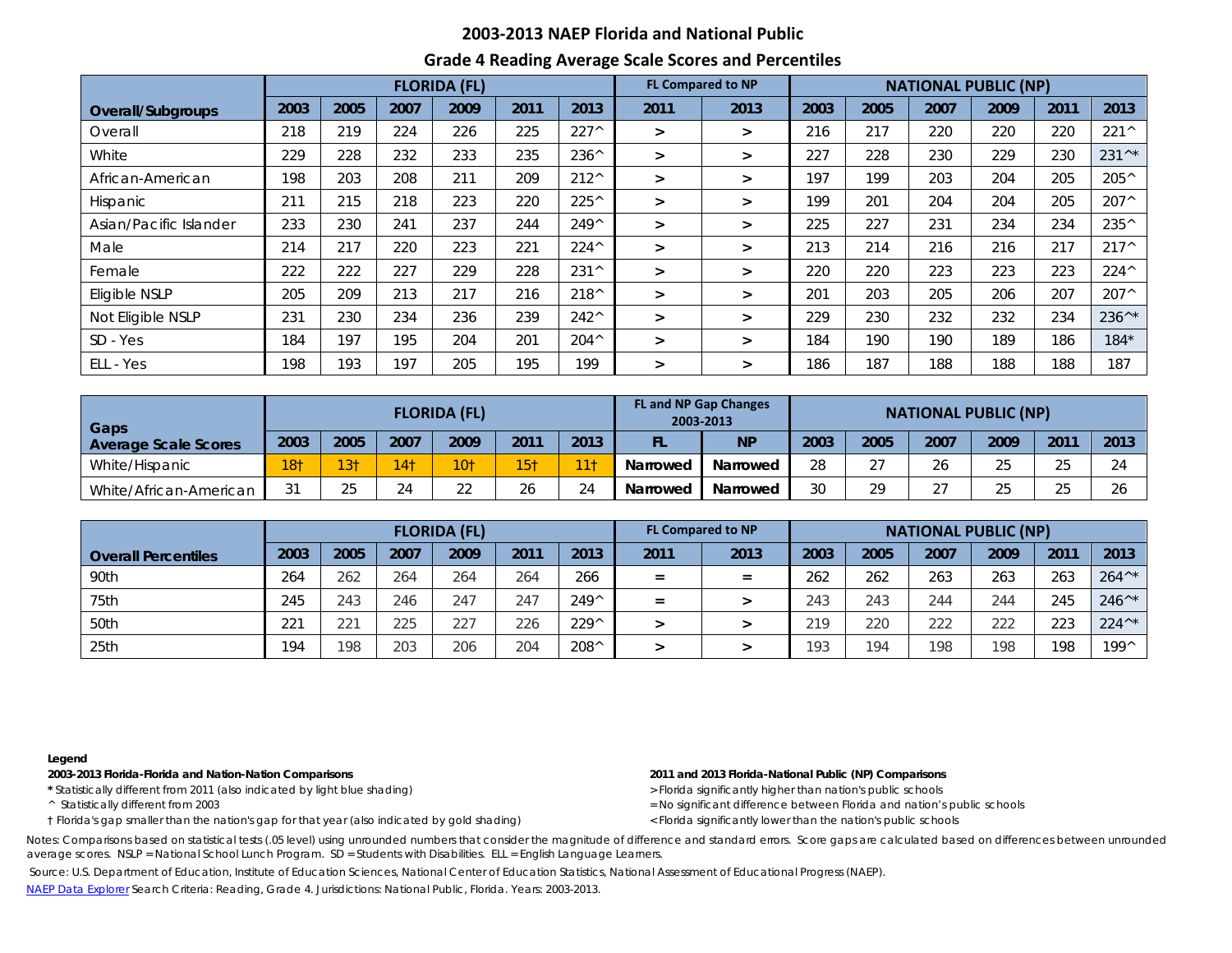## **2003-2013 NAEP Florida and National Public**

## **Grade 4 Reading Average Scale Scores and Percentiles**

|                        |      |      |      | <b>FLORIDA (FL)</b> |      |                | <b>FL Compared to NP</b> | <b>NATIONAL PUBLIC (NP)</b> |      |      |      |      |      |                |
|------------------------|------|------|------|---------------------|------|----------------|--------------------------|-----------------------------|------|------|------|------|------|----------------|
| Overall/Subgroups      | 2003 | 2005 | 2007 | 2009                | 2011 | 2013           | 2011                     | 2013                        | 2003 | 2005 | 2007 | 2009 | 2011 | 2013           |
| Overall                | 218  | 219  | 224  | 226                 | 225  | $227^{\wedge}$ | $\geq$                   | >                           | 216  | 217  | 220  | 220  | 220  | 221^           |
| White                  | 229  | 228  | 232  | 233                 | 235  | $236^{\wedge}$ | $\geq$                   | $\geq$                      | 227  | 228  | 230  | 229  | 230  | 231^*          |
| African-American       | 198  | 203  | 208  | 211                 | 209  | $212^{\wedge}$ | $\geq$                   | $\geq$                      | 197  | 199  | 203  | 204  | 205  | 205^           |
| <b>Hispanic</b>        | 211  | 215  | 218  | 223                 | 220  | $225^{\wedge}$ | $\geq$                   | $\geq$                      | 199  | 201  | 204  | 204  | 205  | $207^{\wedge}$ |
| Asian/Pacific Islander | 233  | 230  | 241  | 237                 | 244  | $249^{\wedge}$ | $\geq$                   | $\geq$                      | 225  | 227  | 231  | 234  | 234  | 235^           |
| Male                   | 214  | 217  | 220  | 223                 | 221  | $224^{\wedge}$ | $\geq$                   | $\geq$                      | 213  | 214  | 216  | 216  | 217  | $217^{\wedge}$ |
| Female                 | 222  | 222  | 227  | 229                 | 228  | $231^{\circ}$  | $\geq$                   | $\geq$                      | 220  | 220  | 223  | 223  | 223  | $224^{\wedge}$ |
| Eligible NSLP          | 205  | 209  | 213  | 217                 | 216  | 218^           | $\geq$                   | $\geq$                      | 201  | 203  | 205  | 206  | 207  | $207^{\wedge}$ |
| Not Eligible NSLP      | 231  | 230  | 234  | 236                 | 239  | $242^{\wedge}$ | $\geq$                   | $\geq$                      | 229  | 230  | 232  | 232  | 234  | 236^*          |
| SD - Yes               | 184  | 197  | 195  | 204                 | 201  | $204^{\wedge}$ | $\geq$                   | >                           | 184  | 190  | 190  | 189  | 186  | $184*$         |
| ELL - Yes              | 198  | 193  | 197  | 205                 | 195  | 199            | $\geq$                   | $\geq$                      | 186  | 187  | 188  | 188  | 188  | 187            |

| <b>Gaps</b>            |                 |                 |                 | <b>FLORIDA (FL)</b> |                 |                     | <b>FL and NP Gap Changes</b><br>2003-2013 | <b>NATIONAL PUBLIC (NP)</b> |      |               |                      |        |            |           |
|------------------------|-----------------|-----------------|-----------------|---------------------|-----------------|---------------------|-------------------------------------------|-----------------------------|------|---------------|----------------------|--------|------------|-----------|
| Average Scale Scores   | 2003            | 2005            | 2007            | 2009                | 2011            | 2013                | FL                                        | <b>NP</b>                   | 2003 | 2005          | 2007                 | 2009   | 201'       | 2013      |
| White/Hispanic         | 18 <sub>1</sub> | 13 <sub>1</sub> | 14 <sup>†</sup> | $10+$               | 15 <sub>1</sub> | <b>The American</b> | Narrowed                                  | Narrowed                    | 28   | $\sim$ $\sim$ | 26                   | つに     | $\cap$     | $\bigcap$ |
| White/African-American | 31              | 25              | 24              | $\cap$              | 26              | 24                  | Narrowed                                  | Narrowed                    | 30   | 29            | $\sim$ $\sim$<br>، ے | $\cap$ | $\sim$ $-$ | 26        |

|                            | <b>FLORIDA (FL)</b> |      |      |      |      |                | <b>FL Compared to NP</b> | <b>NATIONAL PUBLIC (NP)</b> |      |      |      |      |      |                  |
|----------------------------|---------------------|------|------|------|------|----------------|--------------------------|-----------------------------|------|------|------|------|------|------------------|
| <b>Overall Percentiles</b> | 2003                | 2005 | 2007 | 2009 | 2011 | 2013           | 2011                     | 2013                        | 2003 | 2005 | 2007 | 2009 | 2011 | 2013             |
| 90th                       | 264                 | 262  | 264  | 264  | 264  | 266            | $=$                      | $=$                         | 262  | 262  | 263  | 263  | 263  | $264^{\wedge*}$  |
| 75th                       | 245                 | 243  | 246  | 247  | 247  | 249^           | $=$                      |                             | 243  | 243  | 244  | 244  | 245  | $246^{\wedge*}$  |
| 50th                       | 221                 | 221  | 225  | 227  | 226  | $229^{\wedge}$ |                          |                             | 210  | 220  | 222  | 222  | 223  | $224^{\wedge *}$ |
| 25th                       | 194                 | 198  | 203  | 206  | 204  | $208^{\wedge}$ |                          |                             | 193  | 194  | 198  | 198  | 198  | 199^             |

### **Legend**

**2003-2013 Florida-Florida and Nation-Nation Comparisons 2011 and 2013 Florida-National Public (NP) Comparisons** 

\* Statistically different from 2011 (also indicated by light blue shading) **by a company of the statistically statistically different from 2011 (also indicated by light blue shading) <b>by a company of the statistically diff** 

† Florida's gap smaller than the nation's gap for that year (also indicated by gold shading) < Florida significantly lower than the nation's public schools

^ Statistically different from 2003 = No significant difference between Florida and nation's public schools

Notes: Comparisons based on statistical tests (.05 level) using unrounded numbers that consider the magnitude of difference and standard errors. Score gaps are calculated based on differences between unrounded average scores. NSLP = National School Lunch Program. SD = Students with Disabilities. ELL = English Language Learners.

Source: U.S. Department of Education, Institute of Education Sciences, National Center of Education Statistics, National Assessment of Educational Progress (NAEP).

[NAEP Data Explorer](http://nces.ed.gov/nationsreportcard/naepdata/) Search Criteria: Reading, Grade 4. Jurisdictions: National Public, Florida. Years: 2003-2013.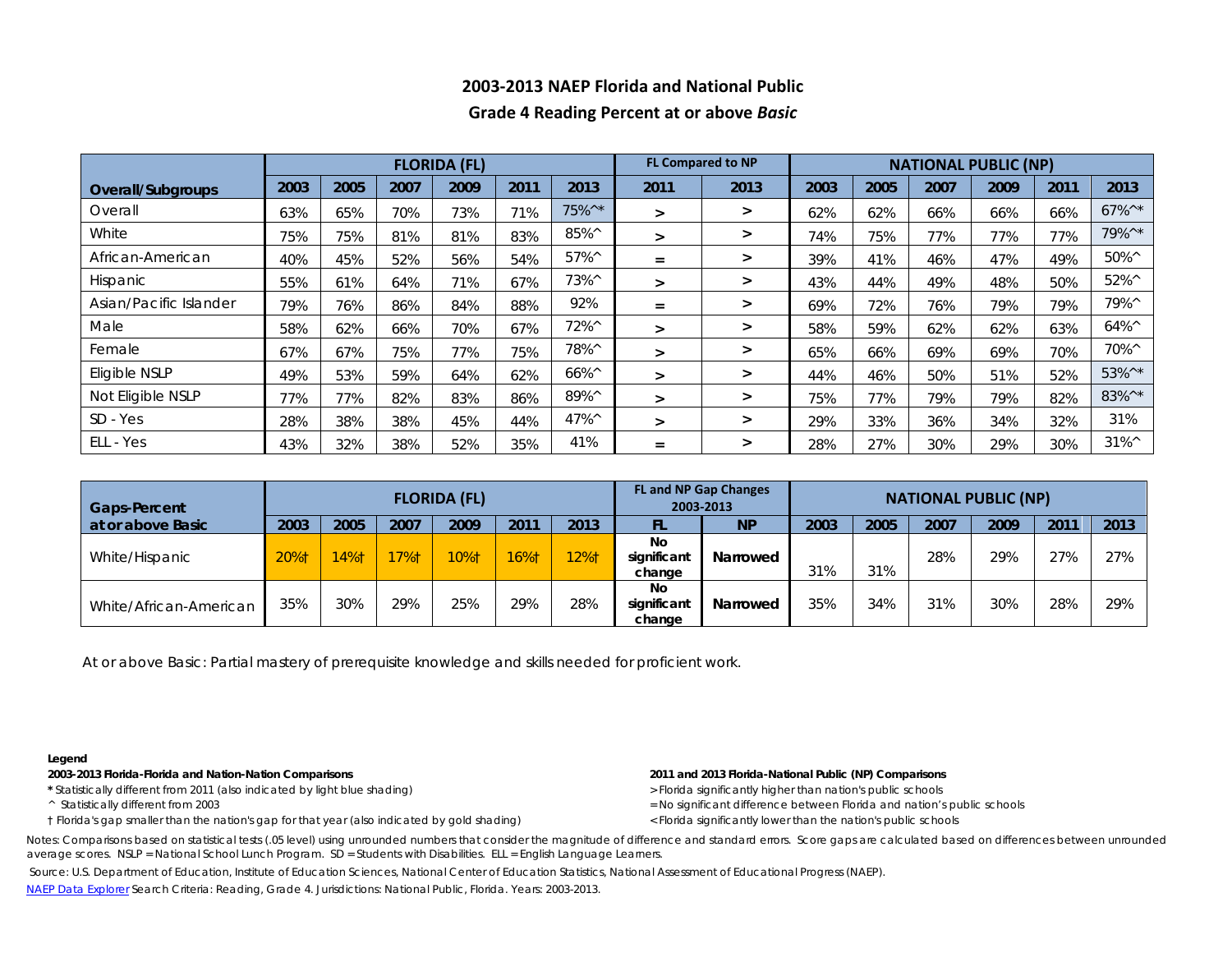# **2003-2013 NAEP Florida and National Public Grade 4 Reading Percent at or above** *Basic*

|                        |      |      |      | <b>FLORIDA (FL)</b> |      |                |        | <b>FL Compared to NP</b> | <b>NATIONAL PUBLIC (NP)</b> |      |      |      |      |                                        |  |  |
|------------------------|------|------|------|---------------------|------|----------------|--------|--------------------------|-----------------------------|------|------|------|------|----------------------------------------|--|--|
| Overall/Subgroups      | 2003 | 2005 | 2007 | 2009                | 2011 | 2013           | 2011   | 2013                     | 2003                        | 2005 | 2007 | 2009 | 2011 | 2013                                   |  |  |
| Overall                | 63%  | 65%  | 70%  | 73%                 | 71%  | 75%^*          | ➤      | $\geq$                   | 62%                         | 62%  | 66%  | 66%  | 66%  | $67\%$ <sup><math>\wedge</math>*</sup> |  |  |
| White                  | 75%  | 75%  | 81%  | 81%                 | 83%  | 85%^           | $\geq$ | ➤                        | 74%                         | 75%  | 77%  | 77%  | 77%  | 79%^*                                  |  |  |
| African-American       | 40%  | 45%  | 52%  | 56%                 | 54%  | $57\%^{\circ}$ | $=$    | >                        | 39%                         | 41%  | 46%  | 47%  | 49%  | $50\%^{\circ}$                         |  |  |
| Hispanic               | 55%  | 61%  | 64%  | 71%                 | 67%  | 73%^           | $\geq$ | $\geq$                   | 43%                         | 44%  | 49%  | 48%  | 50%  | $52\%^{\wedge}$                        |  |  |
| Asian/Pacific Islander | 79%  | 76%  | 86%  | 84%                 | 88%  | 92%            | $=$    | $\geq$                   | 69%                         | 72%  | 76%  | 79%  | 79%  | 79%^                                   |  |  |
| Male                   | 58%  | 62%  | 66%  | 70%                 | 67%  | 72%^           | $\geq$ | ➤                        | 58%                         | 59%  | 62%  | 62%  | 63%  | $64\%^{\circ}$                         |  |  |
| Female                 | 67%  | 67%  | 75%  | 77%                 | 75%  | 78%^           | $\geq$ | $\geq$                   | 65%                         | 66%  | 69%  | 69%  | 70%  | 70%^                                   |  |  |
| Eligible NSLP          | 49%  | 53%  | 59%  | 64%                 | 62%  | 66%^           | ⋗      | ➤                        | 44%                         | 46%  | 50%  | 51%  | 52%  | 53%^*                                  |  |  |
| Not Eligible NSLP      | 77%  | 77%  | 82%  | 83%                 | 86%  | 89%^           | ⋗      | $\geq$                   | 75%                         | 77%  | 79%  | 79%  | 82%  | 83%^*                                  |  |  |
| $SD - Yes$             | 28%  | 38%  | 38%  | 45%                 | 44%  | $47\%^{\circ}$ | $\geq$ | $\geq$                   | 29%                         | 33%  | 36%  | 34%  | 32%  | 31%                                    |  |  |
| ELL - Yes              | 43%  | 32%  | 38%  | 52%                 | 35%  | 41%            | $=$    | ➤                        | 28%                         | 27%  | 30%  | 29%  | 30%  | $31\%^{\wedge}$                        |  |  |

| <b>Gaps-Percent</b>    |      |      |      | <b>FLORIDA (FL)</b> |      |      | <b>FL and NP Gap Changes</b><br>2003-2013 | <b>NATIONAL PUBLIC (NP)</b> |      |      |      |      |     |      |
|------------------------|------|------|------|---------------------|------|------|-------------------------------------------|-----------------------------|------|------|------|------|-----|------|
| at or above Basic      | 2003 | 2005 | 2007 | 2009                | 201' | 2013 | FL                                        | <b>NP</b>                   | 2003 | 2005 | 2007 | 2009 | 201 | 2013 |
| White/Hispanic         | 20%1 | 14%  | 17%1 | <b>10%t</b>         | 16%t | 12%† | No<br>significant<br>change               | Narrowed                    | 31%  | 31%  | 28%  | 29%  | 27% | 27%  |
| White/African-American | 35%  | 30%  | 29%  | 25%                 | 29%  | 28%  | No<br>significant<br>change               | <b>Narrowed</b>             | 35%  | 34%  | 31%  | 30%  | 28% | 29%  |

At or above *Basic*: Partial mastery of prerequisite knowledge and skills needed for proficient work.

### **Legend**

**2003-2013 Florida-Florida and Nation-Nation Comparisons 2011 and 2013 Florida-National Public (NP) Comparisons** 

- \* Statistically different from 2011 (also indicated by light blue shading) **by a company of the statistically statistically different from 2011 (also indicated by light blue shading) <b>by a company of the statistically diff**
- 
- † Florida's gap smaller than the nation's gap for that year (also indicated by gold shading) < Florida significantly lower than the nation's public schools

- 
- ^ Statistically different from 2003 = No significant difference between Florida and nation's public schools
	-

Notes: Comparisons based on statistical tests (.05 level) using unrounded numbers that consider the magnitude of difference and standard errors. Score gaps are calculated based on differences between unrounded average scores. NSLP = National School Lunch Program. SD = Students with Disabilities. ELL = English Language Learners.

Source: U.S. Department of Education, Institute of Education Sciences, National Center of Education Statistics, National Assessment of Educational Progress (NAEP).

[NAEP Data Explorer](http://nces.ed.gov/nationsreportcard/naepdata/) Search Criteria: Reading, Grade 4. Jurisdictions: National Public, Florida. Years: 2003-2013.